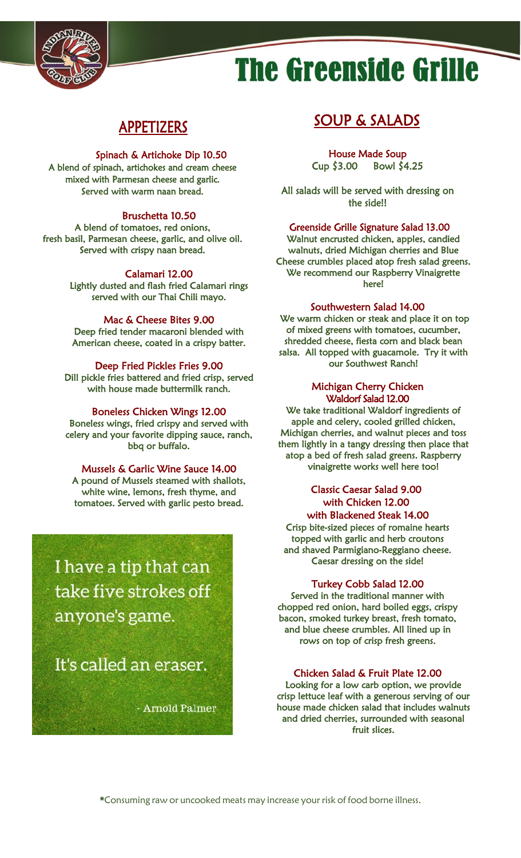

# **The Greenside Grille**

## APPETIZERS

#### Spinach & Artichoke Dip 10.50

A blend of spinach, artichokes and cream cheese mixed with Parmesan cheese and garlic. Served with warm naan bread.

#### Bruschetta 10.50

A blend of tomatoes, red onions, fresh basil, Parmesan cheese, garlic, and olive oil. Served with crispy naan bread.

#### Calamari 12.00

Lightly dusted and flash fried Calamari rings served with our Thai Chili mayo.

#### Mac & Cheese Bites 9.00

Deep fried tender macaroni blended with American cheese, coated in a crispy batter.

#### Deep Fried Pickles Fries 9.00

Dill pickle fries battered and fried crisp, served with house made buttermilk ranch.

#### Boneless Chicken Wings 12.00

Boneless wings, fried crispy and served with celery and your favorite dipping sauce, ranch, bbq or buffalo.

#### Mussels & Garlic Wine Sauce 14.00

A pound of Mussels steamed with shallots, white wine, lemons, fresh thyme, and tomatoes. Served with garlic pesto bread.

I have a tip that can take five strokes off anyone's game.

It's called an eraser.

Fig.

i<br>S

- Arnold Palmer

## SOUP & SALADS

 House Made Soup Cup \$3.00 Bowl \$4.25

All salads will be served with dressing on the side!!

#### Greenside Grille Signature Salad 13.00

Walnut encrusted chicken, apples, candied walnuts, dried Michigan cherries and Blue Cheese crumbles placed atop fresh salad greens. We recommend our Raspberry Vinaigrette here!

#### Southwestern Salad 14.00

We warm chicken or steak and place it on top of mixed greens with tomatoes, cucumber, shredded cheese, fiesta corn and black bean salsa. All topped with guacamole. Try it with our Southwest Ranch!

#### Michigan Cherry Chicken Waldorf Salad 12.00

We take traditional Waldorf ingredients of apple and celery, cooled grilled chicken, Michigan cherries, and walnut pieces and toss them lightly in a tangy dressing then place that atop a bed of fresh salad greens. Raspberry vinaigrette works well here too!

#### Classic Caesar Salad 9.00 with Chicken 12.00 with Blackened Steak 14.00

Crisp bite-sized pieces of romaine hearts topped with garlic and herb croutons and shaved Parmigiano-Reggiano cheese. Caesar dressing on the side!

#### Turkey Cobb Salad 12.00

Served in the traditional manner with chopped red onion, hard boiled eggs, crispy bacon, smoked turkey breast, fresh tomato, and blue cheese crumbles. All lined up in rows on top of crisp fresh greens.

#### Chicken Salad & Fruit Plate 12.00

Looking for a low carb option, we provide crisp lettuce leaf with a generous serving of our house made chicken salad that includes walnuts and dried cherries, surrounded with seasonal fruit slices.

\*Consuming raw or uncooked meats may increase your risk of food borne illness.